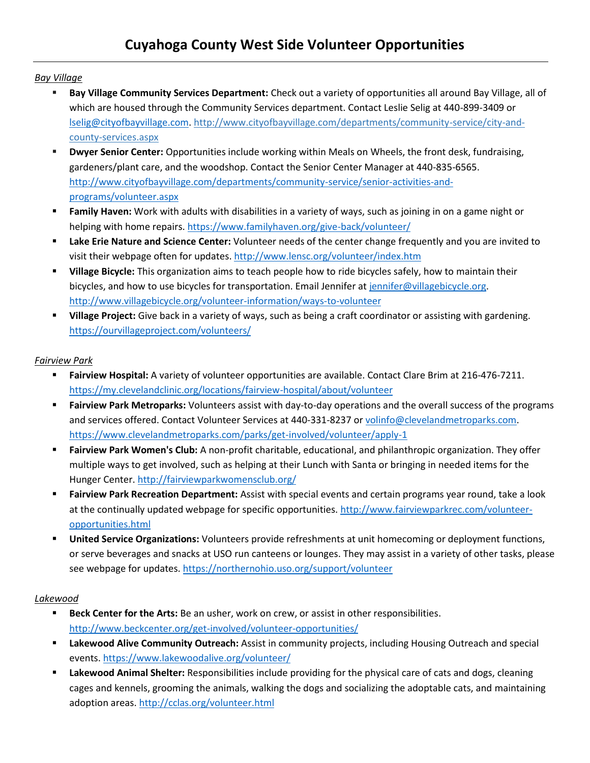#### *Bay Village*

- **Bay Village Community Services Department:** Check out a variety of opportunities all around Bay Village, all of which are housed through the Community Services department. Contact Leslie Selig at 440-899-3409 or [lselig@cityofbayvillage.com.](mailto:lselig@cityofbayvillage.com) [http://www.cityofbayvillage.com/departments/community-service/city-and](http://www.cityofbayvillage.com/departments/community-service/city-and-county-services.aspx)[county-services.aspx](http://www.cityofbayvillage.com/departments/community-service/city-and-county-services.aspx)
- **Dwyer Senior Center:** Opportunities include working within Meals on Wheels, the front desk, fundraising, gardeners/plant care, and the woodshop. Contact the Senior Center Manager at 440-835-6565. [http://www.cityofbayvillage.com/departments/community-service/senior-activities-and](http://www.cityofbayvillage.com/departments/community-service/senior-activities-and-programs/volunteer.aspx)[programs/volunteer.aspx](http://www.cityofbayvillage.com/departments/community-service/senior-activities-and-programs/volunteer.aspx)
- **Family Haven:** Work with adults with disabilities in a variety of ways, such as joining in on a game night or helping with home repairs[. https://www.familyhaven.org/give-back/volunteer/](https://www.familyhaven.org/give-back/volunteer/)
- **Lake Erie Nature and Science Center:** Volunteer needs of the center change frequently and you are invited to visit their webpage often for updates.<http://www.lensc.org/volunteer/index.htm>
- **Village Bicycle:** This organization aims to teach people how to ride bicycles safely, how to maintain their bicycles, and how to use bicycles for transportation. Email Jennifer at [jennifer@villagebicycle.org.](mailto:jennifer@villagebicycle.org) <http://www.villagebicycle.org/volunteer-information/ways-to-volunteer>
- **Village Project:** Give back in a variety of ways, such as being a craft coordinator or assisting with gardening. <https://ourvillageproject.com/volunteers/>

### *Fairview Park*

- **Fairview Hospital:** A variety of volunteer opportunities are available. Contact Clare Brim at 216-476-7211. <https://my.clevelandclinic.org/locations/fairview-hospital/about/volunteer>
- **Fairview Park Metroparks:** Volunteers assist with day-to-day operations and the overall success of the programs and services offered. Contact Volunteer Services at 440-331-8237 or [volinfo@clevelandmetroparks.com.](mailto:volinfo@clevelandmetroparks.com) <https://www.clevelandmetroparks.com/parks/get-involved/volunteer/apply-1>
- **Fairview Park Women's Club:** A non-profit charitable, educational, and philanthropic organization. They offer multiple ways to get involved, such as helping at their Lunch with Santa or bringing in needed items for the Hunger Center.<http://fairviewparkwomensclub.org/>
- **Fairview Park Recreation Department:** Assist with special events and certain programs year round, take a look at the continually updated webpage for specific opportunities. [http://www.fairviewparkrec.com/volunteer](http://www.fairviewparkrec.com/volunteer-opportunities.html)[opportunities.html](http://www.fairviewparkrec.com/volunteer-opportunities.html)
- **United Service Organizations:** Volunteers provide refreshments at unit homecoming or deployment functions, or serve beverages and snacks at USO run canteens or lounges. They may assist in a variety of other tasks, please see webpage for updates.<https://northernohio.uso.org/support/volunteer>

#### *Lakewood*

- **Beck Center for the Arts:** Be an usher, work on crew, or assist in other responsibilities. <http://www.beckcenter.org/get-involved/volunteer-opportunities/>
- **Lakewood Alive Community Outreach:** Assist in community projects, including Housing Outreach and special events.<https://www.lakewoodalive.org/volunteer/>
- **Lakewood Animal Shelter:** Responsibilities include providing for the physical care of cats and dogs, cleaning cages and kennels, grooming the animals, walking the dogs and socializing the adoptable cats, and maintaining adoption areas.<http://cclas.org/volunteer.html>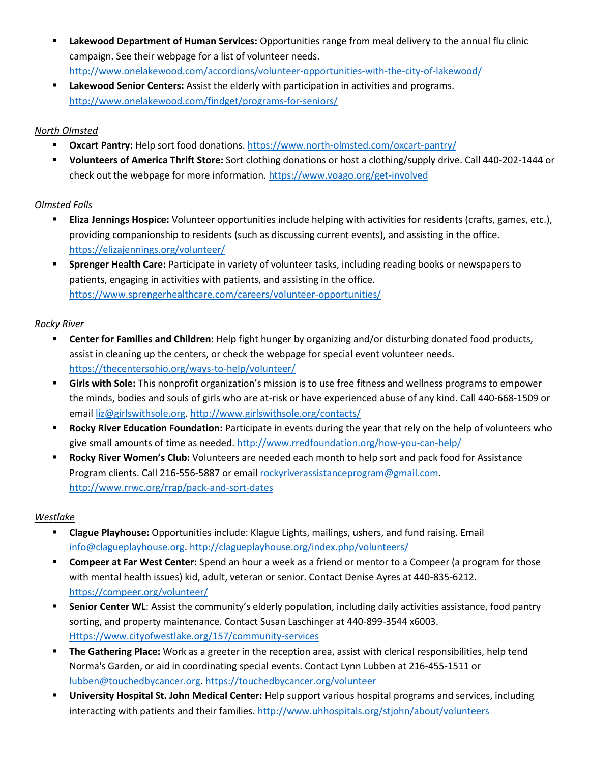- **Lakewood Department of Human Services:** Opportunities range from meal delivery to the annual flu clinic campaign. See their webpage for a list of volunteer needs. <http://www.onelakewood.com/accordions/volunteer-opportunities-with-the-city-of-lakewood/>
- **Lakewood Senior Centers:** Assist the elderly with participation in activities and programs. <http://www.onelakewood.com/findget/programs-for-seniors/>

## *North Olmsted*

- **Dxcart Pantry:** Help sort food donations.<https://www.north-olmsted.com/oxcart-pantry/>
- **Volunteers of America Thrift Store:** Sort clothing donations or host a clothing/supply drive. Call 440-202-1444 or check out the webpage for more information.<https://www.voago.org/get-involved>

# *Olmsted Falls*

- **Eliza Jennings Hospice:** Volunteer opportunities include helping with activities for residents (crafts, games, etc.), providing companionship to residents (such as discussing current events), and assisting in the office. <https://elizajennings.org/volunteer/>
- **Sprenger Health Care:** Participate in variety of volunteer tasks, including reading books or newspapers to patients, engaging in activities with patients, and assisting in the office. <https://www.sprengerhealthcare.com/careers/volunteer-opportunities/>

# *Rocky River*

- **Center for Families and Children:** Help fight hunger by organizing and/or disturbing donated food products, assist in cleaning up the centers, or check the webpage for special event volunteer needs. <https://thecentersohio.org/ways-to-help/volunteer/>
- **Girls with Sole:** This nonprofit organization's mission is to use free fitness and wellness programs to empower the minds, bodies and souls of girls who are at-risk or have experienced abuse of any kind. Call 440-668-1509 or email [liz@girlswithsole.org.](mailto:liz@girlswithsole.org)<http://www.girlswithsole.org/contacts/>
- **Rocky River Education Foundation:** Participate in events during the year that rely on the help of volunteers who give small amounts of time as needed.<http://www.rredfoundation.org/how-you-can-help/>
- **Rocky River Women's Club:** Volunteers are needed each month to help sort and pack food for Assistance Program clients. Call 216-556-5887 or email [rockyriverassistanceprogram@gmail.com.](mailto:rockyriverassistanceprogram@gmail.com) <http://www.rrwc.org/rrap/pack-and-sort-dates>

### *Westlake*

- **Clague Playhouse:** Opportunities include: Klague Lights, mailings, ushers, and fund raising. Email [info@clagueplayhouse.org.](mailto:info@clagueplayhouse.org)<http://clagueplayhouse.org/index.php/volunteers/>
- **Compeer at Far West Center:** Spend an hour a week as a friend or mentor to a Compeer (a program for those with mental health issues) kid, adult, veteran or senior. Contact Denise Ayres at 440-835-6212. <https://compeer.org/volunteer/>
- **Senior Center WL:** Assist the community's elderly population, including daily activities assistance, food pantry sorting, and property maintenance. Contact Susan Laschinger at 440-899-3544 x6003. [Https://www.cityofwestlake.org/157/community-services](https://www.cityofwestlake.org/157/Community-Services)
- **The Gathering Place:** Work as a greeter in the reception area, assist with clerical responsibilities, help tend Norma's Garden, or aid in coordinating special events. Contact Lynn Lubben at 216-455-1511 or [lubben@touchedbycancer.org.](mailto:lubben@touchedbycancer.org)<https://touchedbycancer.org/volunteer>
- **University Hospital St. John Medical Center:** Help support various hospital programs and services, including interacting with patients and their families. <http://www.uhhospitals.org/stjohn/about/volunteers>